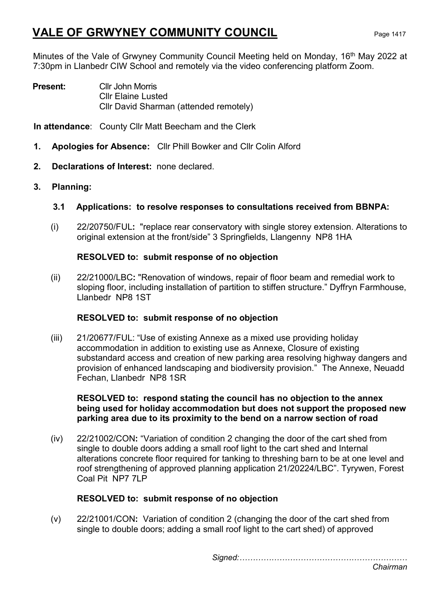Minutes of the Vale of Grwyney Community Council Meeting held on Monday, 16<sup>th</sup> May 2022 at 7:30pm in Llanbedr CIW School and remotely via the video conferencing platform Zoom.

Present: Cllr John Morris Cllr Elaine Lusted Cllr David Sharman (attended remotely)

In attendance: County Cllr Matt Beecham and the Clerk

- 1. Apologies for Absence: Cllr Phill Bowker and Cllr Colin Alford
- 2. Declarations of Interest: none declared.
- 3. Planning:
	- 3.1 Applications: to resolve responses to consultations received from BBNPA:
	- (i) 22/20750/FUL: "replace rear conservatory with single storey extension. Alterations to original extension at the front/side" 3 Springfields, Llangenny NP8 1HA

### RESOLVED to: submit response of no objection

(ii) 22/21000/LBC: "Renovation of windows, repair of floor beam and remedial work to sloping floor, including installation of partition to stiffen structure." Dyffryn Farmhouse, Llanbedr NP8 1ST

### RESOLVED to: submit response of no objection

(iii) 21/20677/FUL: "Use of existing Annexe as a mixed use providing holiday accommodation in addition to existing use as Annexe, Closure of existing substandard access and creation of new parking area resolving highway dangers and provision of enhanced landscaping and biodiversity provision." The Annexe, Neuadd Fechan, Llanbedr NP8 1SR

### RESOLVED to: respond stating the council has no objection to the annex being used for holiday accommodation but does not support the proposed new parking area due to its proximity to the bend on a narrow section of road

(iv) 22/21002/CON: "Variation of condition 2 changing the door of the cart shed from single to double doors adding a small roof light to the cart shed and Internal alterations concrete floor required for tanking to threshing barn to be at one level and roof strengthening of approved planning application 21/20224/LBC". Tyrywen, Forest Coal Pit NP7 7LP

### RESOLVED to: submit response of no objection

(v) 22/21001/CON: Variation of condition 2 (changing the door of the cart shed from single to double doors; adding a small roof light to the cart shed) of approved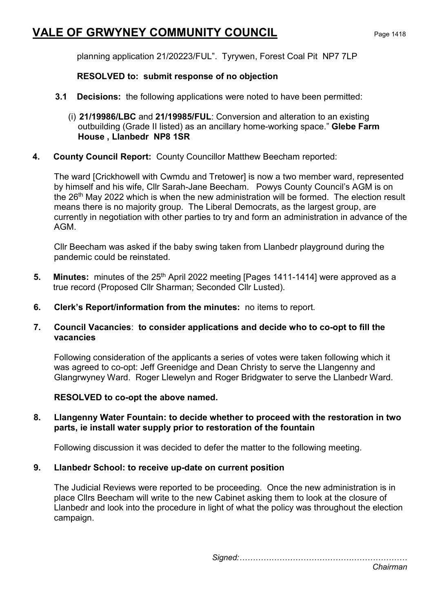planning application 21/20223/FUL". Tyrywen, Forest Coal Pit NP7 7LP

### RESOLVED to: submit response of no objection

- **3.1 Decisions:** the following applications were noted to have been permitted:
	- (i) 21/19986/LBC and 21/19985/FUL: Conversion and alteration to an existing outbuilding (Grade II listed) as an ancillary home-working space." Glebe Farm House , Llanbedr NP8 1SR
- 4. County Council Report: County Councillor Matthew Beecham reported:

The ward [Crickhowell with Cwmdu and Tretower] is now a two member ward, represented by himself and his wife, Cllr Sarah-Jane Beecham. Powys County Council's AGM is on the 26<sup>th</sup> May 2022 which is when the new administration will be formed. The election result means there is no majority group. The Liberal Democrats, as the largest group, are currently in negotiation with other parties to try and form an administration in advance of the AGM.

Cllr Beecham was asked if the baby swing taken from Llanbedr playground during the pandemic could be reinstated.

- 5. Minutes: minutes of the 25<sup>th</sup> April 2022 meeting [Pages 1411-1414] were approved as a true record (Proposed Cllr Sharman; Seconded Cllr Lusted).
- 6. Clerk's Report/information from the minutes: no items to report.

### 7. Council Vacancies: to consider applications and decide who to co-opt to fill the vacancies

 Following consideration of the applicants a series of votes were taken following which it was agreed to co-opt: Jeff Greenidge and Dean Christy to serve the Llangenny and Glangrwyney Ward. Roger Llewelyn and Roger Bridgwater to serve the Llanbedr Ward.

### RESOLVED to co-opt the above named.

#### 8. Llangenny Water Fountain: to decide whether to proceed with the restoration in two parts, ie install water supply prior to restoration of the fountain

Following discussion it was decided to defer the matter to the following meeting.

### 9. Llanbedr School: to receive up-date on current position

The Judicial Reviews were reported to be proceeding. Once the new administration is in place Cllrs Beecham will write to the new Cabinet asking them to look at the closure of Llanbedr and look into the procedure in light of what the policy was throughout the election campaign.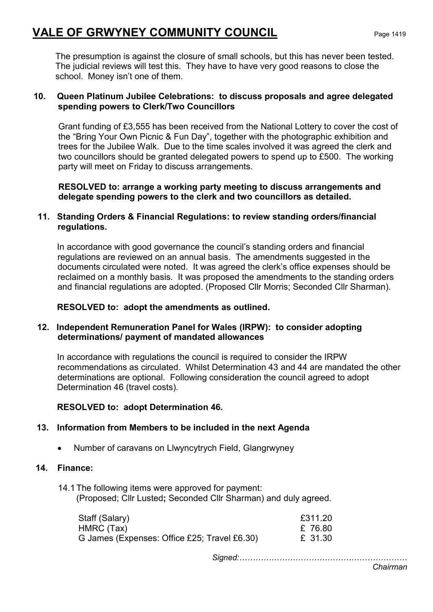The presumption is against the closure of small schools, but this has never been tested. The judicial reviews will test this. They have to have very good reasons to close the school. Money isn't one of them.

### 10. Queen Platinum Jubilee Celebrations: to discuss proposals and agree delegated spending powers to Clerk/Two Councillors

Grant funding of £3,555 has been received from the National Lottery to cover the cost of the "Bring Your Own Picnic & Fun Day", together with the photographic exhibition and trees for the Jubilee Walk. Due to the time scales involved it was agreed the clerk and two councillors should be granted delegated powers to spend up to £500. The working party will meet on Friday to discuss arrangements.

RESOLVED to: arrange a working party meeting to discuss arrangements and delegate spending powers to the clerk and two councillors as detailed.

### 11. Standing Orders & Financial Regulations: to review standing orders/financial regulations.

 In accordance with good governance the council's standing orders and financial regulations are reviewed on an annual basis. The amendments suggested in the documents circulated were noted. It was agreed the clerk's office expenses should be reclaimed on a monthly basis. It was proposed the amendments to the standing orders and financial regulations are adopted. (Proposed Cllr Morris; Seconded Cllr Sharman).

### RESOLVED to: adopt the amendments as outlined.

### 12. Independent Remuneration Panel for Wales (IRPW): to consider adopting determinations/ payment of mandated allowances

In accordance with regulations the council is required to consider the IRPW recommendations as circulated. Whilst Determination 43 and 44 are mandated the other determinations are optional. Following consideration the council agreed to adopt Determination 46 (travel costs).

### RESOLVED to: adopt Determination 46.

### 13. Information from Members to be included in the next Agenda

• Number of caravans on Llwyncytrych Field, Glangrwyney

### 14. Finance:

14.1 The following items were approved for payment: (Proposed; Cllr Lusted; Seconded Cllr Sharman) and duly agreed.

| Staff (Salary)                               | £311.20 |
|----------------------------------------------|---------|
| HMRC (Tax)                                   | £ 76.80 |
| G James (Expenses: Office £25; Travel £6.30) | £ 31.30 |